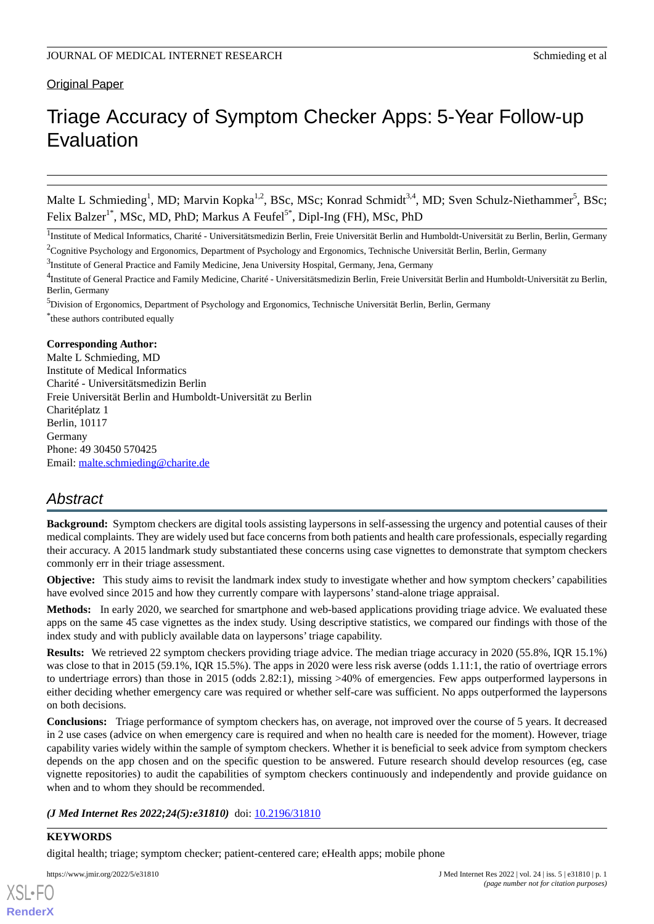**Original Paper** 

# Triage Accuracy of Symptom Checker Apps: 5-Year Follow-up Evaluation

Malte L Schmieding<sup>1</sup>, MD; Marvin Kopka<sup>1,2</sup>, BSc, MSc; Konrad Schmidt<sup>3,4</sup>, MD; Sven Schulz-Niethammer<sup>5</sup>, BSc; Felix Balzer<sup>1\*</sup>, MSc, MD, PhD; Markus A Feufel<sup>5\*</sup>, Dipl-Ing (FH), MSc, PhD

<sup>1</sup>Institute of Medical Informatics, Charité - Universitätsmedizin Berlin, Freie Universität Berlin and Humboldt-Universität zu Berlin, Berlin, Germany

<sup>2</sup>Cognitive Psychology and Ergonomics, Department of Psychology and Ergonomics, Technische Universität Berlin, Berlin, Germany

#### **Corresponding Author:**

Malte L Schmieding, MD Institute of Medical Informatics Charité - Universitätsmedizin Berlin Freie Universität Berlin and Humboldt-Universität zu Berlin Charitéplatz 1 Berlin, 10117 Germany Phone: 49 30450 570425 Email: [malte.schmieding@charite.de](mailto:malte.schmieding@charite.de)

# *Abstract*

**Background:** Symptom checkers are digital tools assisting laypersons in self-assessing the urgency and potential causes of their medical complaints. They are widely used but face concerns from both patients and health care professionals, especially regarding their accuracy. A 2015 landmark study substantiated these concerns using case vignettes to demonstrate that symptom checkers commonly err in their triage assessment.

**Objective:** This study aims to revisit the landmark index study to investigate whether and how symptom checkers' capabilities have evolved since 2015 and how they currently compare with laypersons'stand-alone triage appraisal.

**Methods:** In early 2020, we searched for smartphone and web-based applications providing triage advice. We evaluated these apps on the same 45 case vignettes as the index study. Using descriptive statistics, we compared our findings with those of the index study and with publicly available data on laypersons' triage capability.

**Results:** We retrieved 22 symptom checkers providing triage advice. The median triage accuracy in 2020 (55.8%, IQR 15.1%) was close to that in 2015 (59.1%, IQR 15.5%). The apps in 2020 were less risk averse (odds 1.11:1, the ratio of overtriage errors to undertriage errors) than those in 2015 (odds 2.82:1), missing >40% of emergencies. Few apps outperformed laypersons in either deciding whether emergency care was required or whether self-care was sufficient. No apps outperformed the laypersons on both decisions.

**Conclusions:** Triage performance of symptom checkers has, on average, not improved over the course of 5 years. It decreased in 2 use cases (advice on when emergency care is required and when no health care is needed for the moment). However, triage capability varies widely within the sample of symptom checkers. Whether it is beneficial to seek advice from symptom checkers depends on the app chosen and on the specific question to be answered. Future research should develop resources (eg, case vignette repositories) to audit the capabilities of symptom checkers continuously and independently and provide guidance on when and to whom they should be recommended.

#### *(J Med Internet Res 2022;24(5):e31810)* doi: [10.2196/31810](http://dx.doi.org/10.2196/31810)

## **KEYWORDS**

[XSL](http://www.w3.org/Style/XSL)•FO **[RenderX](http://www.renderx.com/)**

digital health; triage; symptom checker; patient-centered care; eHealth apps; mobile phone

<sup>&</sup>lt;sup>3</sup>Institute of General Practice and Family Medicine, Jena University Hospital, Germany, Jena, Germany

<sup>&</sup>lt;sup>4</sup>Institute of General Practice and Family Medicine, Charité - Universitätsmedizin Berlin, Freie Universität Berlin and Humboldt-Universität zu Berlin, Berlin, Germany

<sup>5</sup>Division of Ergonomics, Department of Psychology and Ergonomics, Technische Universität Berlin, Berlin, Germany \* these authors contributed equally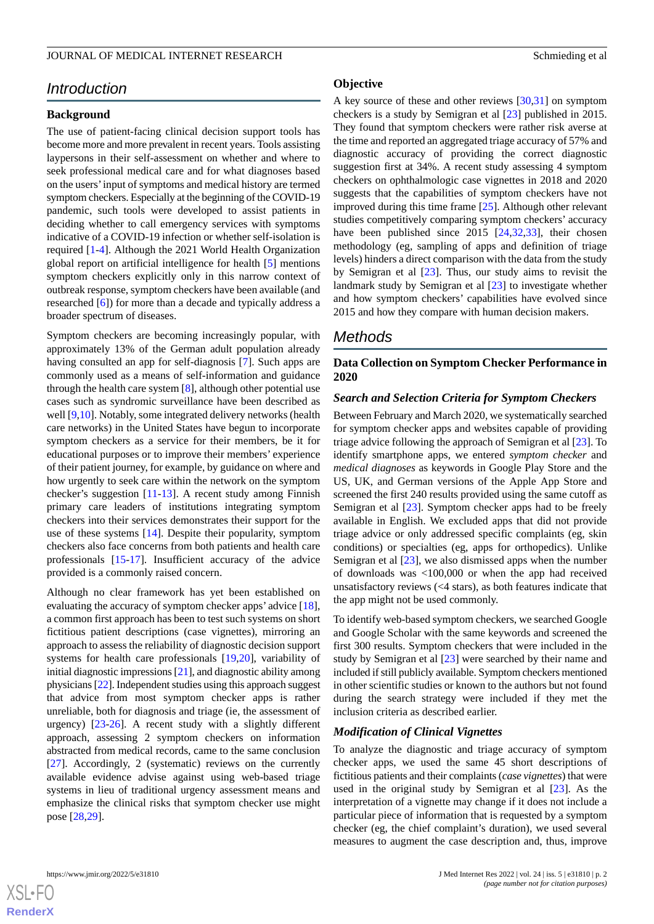# *Introduction*

## **Background**

The use of patient-facing clinical decision support tools has become more and more prevalent in recent years. Tools assisting laypersons in their self-assessment on whether and where to seek professional medical care and for what diagnoses based on the users'input of symptoms and medical history are termed symptom checkers. Especially at the beginning of the COVID-19 pandemic, such tools were developed to assist patients in deciding whether to call emergency services with symptoms indicative of a COVID-19 infection or whether self-isolation is required [\[1](#page-10-0)[-4](#page-10-1)]. Although the 2021 World Health Organization global report on artificial intelligence for health [[5](#page-10-2)] mentions symptom checkers explicitly only in this narrow context of outbreak response, symptom checkers have been available (and researched [\[6](#page-10-3)]) for more than a decade and typically address a broader spectrum of diseases.

Symptom checkers are becoming increasingly popular, with approximately 13% of the German adult population already having consulted an app for self-diagnosis [[7\]](#page-10-4). Such apps are commonly used as a means of self-information and guidance through the health care system [\[8\]](#page-10-5), although other potential use cases such as syndromic surveillance have been described as well [\[9](#page-10-6)[,10](#page-10-7)]. Notably, some integrated delivery networks (health care networks) in the United States have begun to incorporate symptom checkers as a service for their members, be it for educational purposes or to improve their members' experience of their patient journey, for example, by guidance on where and how urgently to seek care within the network on the symptom checker's suggestion [[11-](#page-10-8)[13\]](#page-10-9). A recent study among Finnish primary care leaders of institutions integrating symptom checkers into their services demonstrates their support for the use of these systems [\[14](#page-10-10)]. Despite their popularity, symptom checkers also face concerns from both patients and health care professionals [[15-](#page-10-11)[17\]](#page-10-12). Insufficient accuracy of the advice provided is a commonly raised concern.

Although no clear framework has yet been established on evaluating the accuracy of symptom checker apps' advice [[18\]](#page-10-13), a common first approach has been to test such systems on short fictitious patient descriptions (case vignettes), mirroring an approach to assess the reliability of diagnostic decision support systems for health care professionals [\[19](#page-10-14),[20\]](#page-10-15), variability of initial diagnostic impressions [[21\]](#page-11-0), and diagnostic ability among physicians [[22\]](#page-11-1). Independent studies using this approach suggest that advice from most symptom checker apps is rather unreliable, both for diagnosis and triage (ie, the assessment of urgency) [\[23](#page-11-2)-[26\]](#page-11-3). A recent study with a slightly different approach, assessing 2 symptom checkers on information abstracted from medical records, came to the same conclusion [[27\]](#page-11-4). Accordingly, 2 (systematic) reviews on the currently available evidence advise against using web-based triage systems in lieu of traditional urgency assessment means and emphasize the clinical risks that symptom checker use might pose [[28,](#page-11-5)[29](#page-11-6)].

## **Objective**

A key source of these and other reviews [[30,](#page-11-7)[31](#page-11-8)] on symptom checkers is a study by Semigran et al [\[23](#page-11-2)] published in 2015. They found that symptom checkers were rather risk averse at the time and reported an aggregated triage accuracy of 57% and diagnostic accuracy of providing the correct diagnostic suggestion first at 34%. A recent study assessing 4 symptom checkers on ophthalmologic case vignettes in 2018 and 2020 suggests that the capabilities of symptom checkers have not improved during this time frame [\[25](#page-11-9)]. Although other relevant studies competitively comparing symptom checkers' accuracy have been published since 2015 [[24](#page-11-10)[,32](#page-11-11),[33\]](#page-11-12), their chosen methodology (eg, sampling of apps and definition of triage levels) hinders a direct comparison with the data from the study by Semigran et al [\[23](#page-11-2)]. Thus, our study aims to revisit the landmark study by Semigran et al [[23\]](#page-11-2) to investigate whether and how symptom checkers' capabilities have evolved since 2015 and how they compare with human decision makers.

# *Methods*

## **Data Collection on Symptom Checker Performance in 2020**

#### *Search and Selection Criteria for Symptom Checkers*

Between February and March 2020, we systematically searched for symptom checker apps and websites capable of providing triage advice following the approach of Semigran et al [\[23](#page-11-2)]. To identify smartphone apps, we entered *symptom checker* and *medical diagnoses* as keywords in Google Play Store and the US, UK, and German versions of the Apple App Store and screened the first 240 results provided using the same cutoff as Semigran et al [[23\]](#page-11-2). Symptom checker apps had to be freely available in English. We excluded apps that did not provide triage advice or only addressed specific complaints (eg, skin conditions) or specialties (eg, apps for orthopedics). Unlike Semigran et al [[23\]](#page-11-2), we also dismissed apps when the number of downloads was <100,000 or when the app had received unsatisfactory reviews (<4 stars), as both features indicate that the app might not be used commonly.

To identify web-based symptom checkers, we searched Google and Google Scholar with the same keywords and screened the first 300 results. Symptom checkers that were included in the study by Semigran et al [[23\]](#page-11-2) were searched by their name and included if still publicly available. Symptom checkers mentioned in other scientific studies or known to the authors but not found during the search strategy were included if they met the inclusion criteria as described earlier.

#### *Modification of Clinical Vignettes*

To analyze the diagnostic and triage accuracy of symptom checker apps, we used the same 45 short descriptions of fictitious patients and their complaints (*case vignettes*) that were used in the original study by Semigran et al  $[23]$  $[23]$ . As the interpretation of a vignette may change if it does not include a particular piece of information that is requested by a symptom checker (eg, the chief complaint's duration), we used several measures to augment the case description and, thus, improve

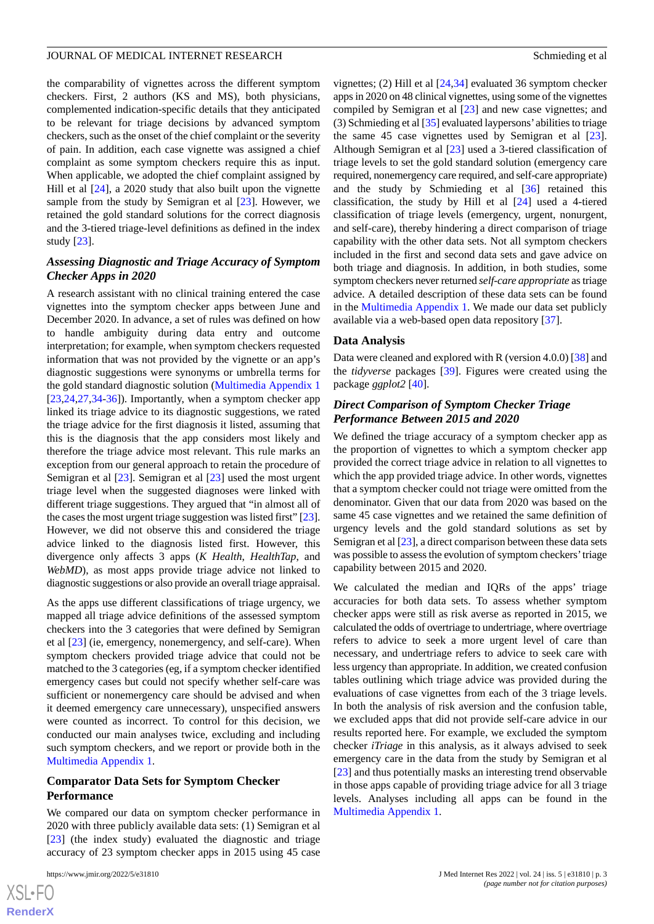the comparability of vignettes across the different symptom checkers. First, 2 authors (KS and MS), both physicians, complemented indication-specific details that they anticipated to be relevant for triage decisions by advanced symptom checkers, such as the onset of the chief complaint or the severity of pain. In addition, each case vignette was assigned a chief complaint as some symptom checkers require this as input. When applicable, we adopted the chief complaint assigned by Hill et al [[24\]](#page-11-10), a 2020 study that also built upon the vignette sample from the study by Semigran et al [[23\]](#page-11-2). However, we retained the gold standard solutions for the correct diagnosis and the 3-tiered triage-level definitions as defined in the index study [\[23](#page-11-2)].

## *Assessing Diagnostic and Triage Accuracy of Symptom Checker Apps in 2020*

A research assistant with no clinical training entered the case vignettes into the symptom checker apps between June and December 2020. In advance, a set of rules was defined on how to handle ambiguity during data entry and outcome interpretation; for example, when symptom checkers requested information that was not provided by the vignette or an app's diagnostic suggestions were synonyms or umbrella terms for the gold standard diagnostic solution ([Multimedia Appendix 1](#page-10-16)  $[23,24,27,34-36]$  $[23,24,27,34-36]$  $[23,24,27,34-36]$  $[23,24,27,34-36]$  $[23,24,27,34-36]$  $[23,24,27,34-36]$  $[23,24,27,34-36]$  $[23,24,27,34-36]$ . Importantly, when a symptom checker app linked its triage advice to its diagnostic suggestions, we rated the triage advice for the first diagnosis it listed, assuming that this is the diagnosis that the app considers most likely and therefore the triage advice most relevant. This rule marks an exception from our general approach to retain the procedure of Semigran et al [[23\]](#page-11-2). Semigran et al [\[23](#page-11-2)] used the most urgent triage level when the suggested diagnoses were linked with different triage suggestions. They argued that "in almost all of the cases the most urgent triage suggestion was listed first" [\[23\]](#page-11-2). However, we did not observe this and considered the triage advice linked to the diagnosis listed first. However, this divergence only affects 3 apps (*K Health*, *HealthTap*, and *WebMD*), as most apps provide triage advice not linked to diagnostic suggestions or also provide an overall triage appraisal.

As the apps use different classifications of triage urgency, we mapped all triage advice definitions of the assessed symptom checkers into the 3 categories that were defined by Semigran et al [\[23](#page-11-2)] (ie, emergency, nonemergency, and self-care). When symptom checkers provided triage advice that could not be matched to the 3 categories (eg, if a symptom checker identified emergency cases but could not specify whether self-care was sufficient or nonemergency care should be advised and when it deemed emergency care unnecessary), unspecified answers were counted as incorrect. To control for this decision, we conducted our main analyses twice, excluding and including such symptom checkers, and we report or provide both in the [Multimedia Appendix 1.](#page-10-16)

## **Comparator Data Sets for Symptom Checker Performance**

We compared our data on symptom checker performance in 2020 with three publicly available data sets: (1) Semigran et al [[23\]](#page-11-2) (the index study) evaluated the diagnostic and triage accuracy of 23 symptom checker apps in 2015 using 45 case

 $XS$ -FO **[RenderX](http://www.renderx.com/)** vignettes; (2) Hill et al [\[24](#page-11-10),[34\]](#page-11-13) evaluated 36 symptom checker apps in 2020 on 48 clinical vignettes, using some of the vignettes compiled by Semigran et al [\[23](#page-11-2)] and new case vignettes; and (3) Schmieding et al [\[35](#page-11-15)] evaluated laypersons' abilities to triage the same 45 case vignettes used by Semigran et al [[23\]](#page-11-2). Although Semigran et al [[23\]](#page-11-2) used a 3-tiered classification of triage levels to set the gold standard solution (emergency care required, nonemergency care required, and self-care appropriate) and the study by Schmieding et al [\[36](#page-11-14)] retained this classification, the study by Hill et al [[24\]](#page-11-10) used a 4-tiered classification of triage levels (emergency, urgent, nonurgent, and self-care), thereby hindering a direct comparison of triage capability with the other data sets. Not all symptom checkers included in the first and second data sets and gave advice on both triage and diagnosis. In addition, in both studies, some symptom checkers never returned *self-care appropriate* as triage advice. A detailed description of these data sets can be found in the [Multimedia Appendix 1.](#page-10-16) We made our data set publicly available via a web-based open data repository [\[37](#page-11-16)].

#### **Data Analysis**

Data were cleaned and explored with R (version 4.0.0) [\[38](#page-11-17)] and the *tidyverse* packages [\[39](#page-11-18)]. Figures were created using the package *ggplot2* [\[40](#page-11-19)].

## *Direct Comparison of Symptom Checker Triage Performance Between 2015 and 2020*

We defined the triage accuracy of a symptom checker app as the proportion of vignettes to which a symptom checker app provided the correct triage advice in relation to all vignettes to which the app provided triage advice. In other words, vignettes that a symptom checker could not triage were omitted from the denominator. Given that our data from 2020 was based on the same 45 case vignettes and we retained the same definition of urgency levels and the gold standard solutions as set by Semigran et al [\[23](#page-11-2)], a direct comparison between these data sets was possible to assess the evolution of symptom checkers'triage capability between 2015 and 2020.

We calculated the median and IQRs of the apps' triage accuracies for both data sets. To assess whether symptom checker apps were still as risk averse as reported in 2015, we calculated the odds of overtriage to undertriage, where overtriage refers to advice to seek a more urgent level of care than necessary, and undertriage refers to advice to seek care with less urgency than appropriate. In addition, we created confusion tables outlining which triage advice was provided during the evaluations of case vignettes from each of the 3 triage levels. In both the analysis of risk aversion and the confusion table, we excluded apps that did not provide self-care advice in our results reported here. For example, we excluded the symptom checker *iTriage* in this analysis, as it always advised to seek emergency care in the data from the study by Semigran et al [[23\]](#page-11-2) and thus potentially masks an interesting trend observable in those apps capable of providing triage advice for all 3 triage levels. Analyses including all apps can be found in the [Multimedia Appendix 1.](#page-10-16)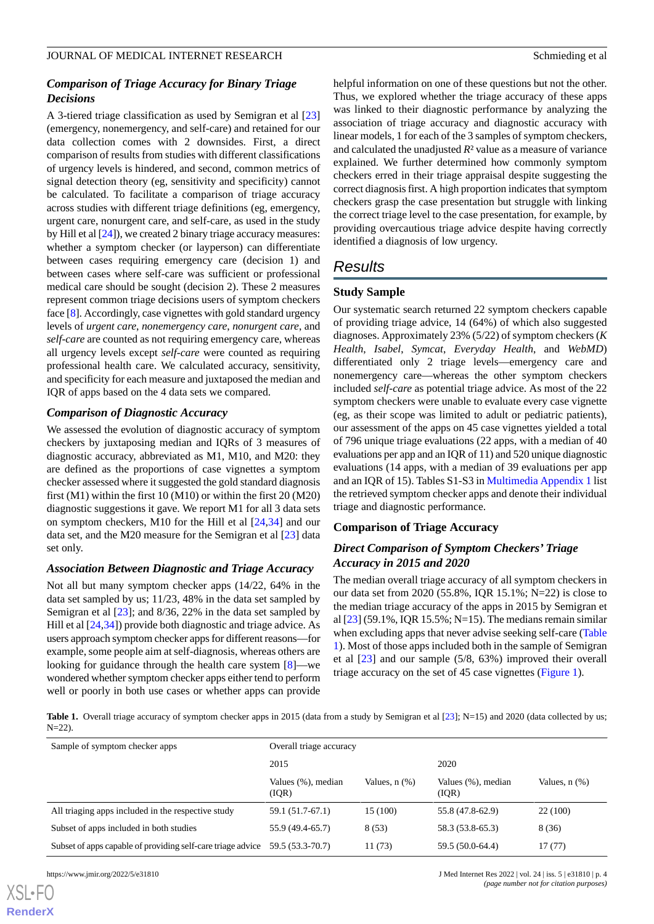## *Comparison of Triage Accuracy for Binary Triage Decisions*

A 3-tiered triage classification as used by Semigran et al [\[23](#page-11-2)] (emergency, nonemergency, and self-care) and retained for our data collection comes with 2 downsides. First, a direct comparison of results from studies with different classifications of urgency levels is hindered, and second, common metrics of signal detection theory (eg, sensitivity and specificity) cannot be calculated. To facilitate a comparison of triage accuracy across studies with different triage definitions (eg, emergency, urgent care, nonurgent care, and self-care, as used in the study by Hill et al [[24\]](#page-11-10)), we created 2 binary triage accuracy measures: whether a symptom checker (or layperson) can differentiate between cases requiring emergency care (decision 1) and between cases where self-care was sufficient or professional medical care should be sought (decision 2). These 2 measures represent common triage decisions users of symptom checkers face [\[8\]](#page-10-5). Accordingly, case vignettes with gold standard urgency levels of *urgent care*, *nonemergency care*, *nonurgent care*, and *self-care* are counted as not requiring emergency care, whereas all urgency levels except *self-care* were counted as requiring professional health care. We calculated accuracy, sensitivity, and specificity for each measure and juxtaposed the median and IQR of apps based on the 4 data sets we compared.

## *Comparison of Diagnostic Accuracy*

We assessed the evolution of diagnostic accuracy of symptom checkers by juxtaposing median and IQRs of 3 measures of diagnostic accuracy, abbreviated as M1, M10, and M20: they are defined as the proportions of case vignettes a symptom checker assessed where it suggested the gold standard diagnosis first (M1) within the first 10 (M10) or within the first 20 (M20) diagnostic suggestions it gave. We report M1 for all 3 data sets on symptom checkers, M10 for the Hill et al [[24,](#page-11-10)[34](#page-11-13)] and our data set, and the M20 measure for the Semigran et al [\[23](#page-11-2)] data set only.

#### *Association Between Diagnostic and Triage Accuracy*

<span id="page-3-0"></span>Not all but many symptom checker apps (14/22, 64% in the data set sampled by us; 11/23, 48% in the data set sampled by Semigran et al [[23\]](#page-11-2); and 8/36, 22% in the data set sampled by Hill et al [[24](#page-11-10)[,34](#page-11-13)]) provide both diagnostic and triage advice. As users approach symptom checker apps for different reasons—for example, some people aim at self-diagnosis, whereas others are looking for guidance through the health care system [[8\]](#page-10-5)—we wondered whether symptom checker apps either tend to perform well or poorly in both use cases or whether apps can provide

helpful information on one of these questions but not the other. Thus, we explored whether the triage accuracy of these apps was linked to their diagnostic performance by analyzing the association of triage accuracy and diagnostic accuracy with linear models, 1 for each of the 3 samples of symptom checkers, and calculated the unadjusted *R*² value as a measure of variance explained. We further determined how commonly symptom checkers erred in their triage appraisal despite suggesting the correct diagnosis first. A high proportion indicates that symptom checkers grasp the case presentation but struggle with linking the correct triage level to the case presentation, for example, by providing overcautious triage advice despite having correctly identified a diagnosis of low urgency.

# *Results*

## **Study Sample**

Our systematic search returned 22 symptom checkers capable of providing triage advice, 14 (64%) of which also suggested diagnoses. Approximately 23% (5/22) of symptom checkers (*K Health*, *Isabel*, *Symcat*, *Everyday Health*, and *WebMD*) differentiated only 2 triage levels—emergency care and nonemergency care—whereas the other symptom checkers included *self-care* as potential triage advice. As most of the 22 symptom checkers were unable to evaluate every case vignette (eg, as their scope was limited to adult or pediatric patients), our assessment of the apps on 45 case vignettes yielded a total of 796 unique triage evaluations (22 apps, with a median of 40 evaluations per app and an IQR of 11) and 520 unique diagnostic evaluations (14 apps, with a median of 39 evaluations per app and an IQR of 15). Tables S1-S3 in [Multimedia Appendix 1](#page-10-16) list the retrieved symptom checker apps and denote their individual triage and diagnostic performance.

## **Comparison of Triage Accuracy**

## *Direct Comparison of Symptom Checkers' Triage Accuracy in 2015 and 2020*

The median overall triage accuracy of all symptom checkers in our data set from 2020 (55.8%, IQR 15.1%; N=22) is close to the median triage accuracy of the apps in 2015 by Semigran et al [\[23\]](#page-11-2) (59.1%, IQR 15.5%; N=15). The medians remain similar when excluding apps that never advise seeking self-care ([Table](#page-3-0) [1\)](#page-3-0). Most of those apps included both in the sample of Semigran et al [[23\]](#page-11-2) and our sample (5/8, 63%) improved their overall triage accuracy on the set of 45 case vignettes ([Figure 1](#page-4-0)).

Table 1. Overall triage accuracy of symptom checker apps in 2015 (data from a study by Semigran et al [\[23\]](#page-11-2); N=15) and 2020 (data collected by us;  $N=22$ ).

| Sample of symptom checker apps                              | Overall triage accuracy     |               |                              |                    |
|-------------------------------------------------------------|-----------------------------|---------------|------------------------------|--------------------|
|                                                             | 2015                        |               | 2020                         |                    |
|                                                             | Values (%), median<br>(IOR) | Values, n (%) | Values (%), median<br>( IQR) | Values, $n$ $(\%)$ |
| All triaging apps included in the respective study          | 59.1 (51.7-67.1)            | 15 (100)      | 55.8 (47.8-62.9)             | 22(100)            |
| Subset of apps included in both studies                     | 55.9 (49.4-65.7)            | 8(53)         | 58.3 (53.8-65.3)             | 8(36)              |
| Subset of apps capable of providing self-care triage advice | 59.5 (53.3-70.7)            | 11(73)        | 59.5 (50.0-64.4)             | 17(77)             |

[XSL](http://www.w3.org/Style/XSL)•FO **[RenderX](http://www.renderx.com/)**

https://www.jmir.org/2022/5/e31810 J Med Internet Res 2022 | vol. 24 | iss. 5 | e31810 | p. 4 *(page number not for citation purposes)*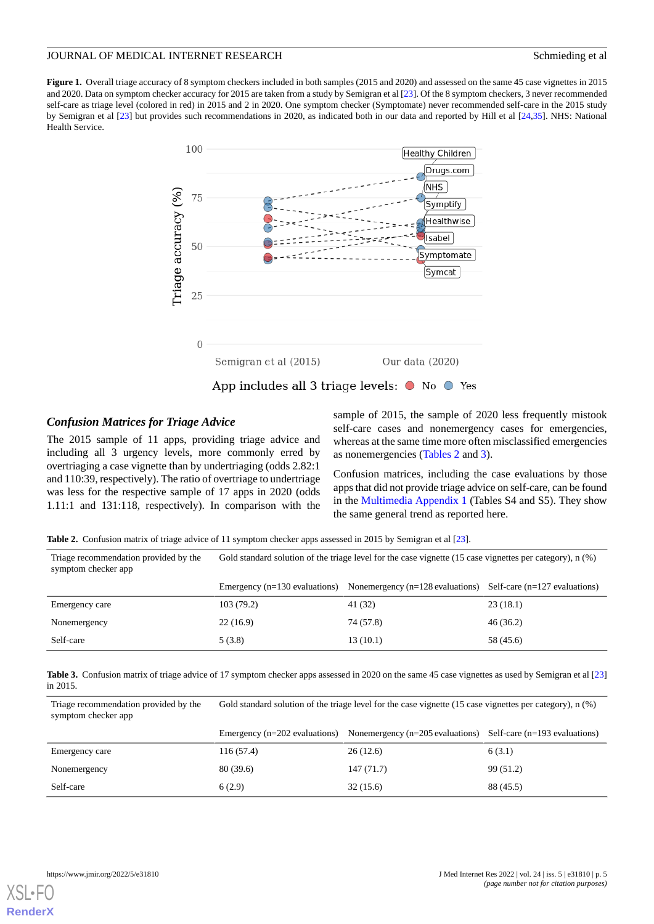<span id="page-4-0"></span>**Figure 1.** Overall triage accuracy of 8 symptom checkers included in both samples (2015 and 2020) and assessed on the same 45 case vignettes in 2015 and 2020. Data on symptom checker accuracy for 2015 are taken from a study by Semigran et al [[23](#page-11-2)]. Of the 8 symptom checkers, 3 never recommended self-care as triage level (colored in red) in 2015 and 2 in 2020. One symptom checker (Symptomate) never recommended self-care in the 2015 study by Semigran et al [\[23\]](#page-11-2) but provides such recommendations in 2020, as indicated both in our data and reported by Hill et al [[24](#page-11-10)[,35\]](#page-11-15). NHS: National Health Service.



#### *Confusion Matrices for Triage Advice*

<span id="page-4-1"></span>The 2015 sample of 11 apps, providing triage advice and including all 3 urgency levels, more commonly erred by overtriaging a case vignette than by undertriaging (odds 2.82:1 and 110:39, respectively). The ratio of overtriage to undertriage was less for the respective sample of 17 apps in 2020 (odds 1.11:1 and 131:118, respectively). In comparison with the

sample of 2015, the sample of 2020 less frequently mistook self-care cases and nonemergency cases for emergencies, whereas at the same time more often misclassified emergencies as nonemergencies [\(Tables 2](#page-4-1) and [3\)](#page-4-2).

Confusion matrices, including the case evaluations by those apps that did not provide triage advice on self-care, can be found in the [Multimedia Appendix 1](#page-10-16) (Tables S4 and S5). They show the same general trend as reported here.

**Table 2.** Confusion matrix of triage advice of 11 symptom checker apps assessed in 2015 by Semigran et al [\[23\]](#page-11-2).

Triage recommendation provided by the Gold standard solution of the triage level for the case vignette (15 case vignettes per category), n (%) symptom checker app

<span id="page-4-2"></span>

|                | Emergency $(n=130 \text{ evaluations})$ | Nonemergency $(n=128 \text{ evaluations})$ Self-care $(n=127 \text{ evaluations})$ |           |
|----------------|-----------------------------------------|------------------------------------------------------------------------------------|-----------|
| Emergency care | 103 (79.2)                              | 41 (32)                                                                            | 23(18.1)  |
| Nonemergency   | 22(16.9)                                | 74 (57.8)                                                                          | 46 (36.2) |
| Self-care      | 5(3.8)                                  | 13(10.1)                                                                           | 58 (45.6) |

**Table 3.** Confusion matrix of triage advice of 17 symptom checker apps assessed in 2020 on the same 45 case vignettes as used by Semigran et al [\[23\]](#page-11-2) in 2015.

Triage recommendation provided by the Gold standard solution of the triage level for the case vignette (15 case vignettes per category), n (%) symptom checker app

|                | Emergency $(n=202$ evaluations) | Nonemergency $(n=205 \text{ evaluations})$ Self-care $(n=193 \text{ evaluations})$ |           |
|----------------|---------------------------------|------------------------------------------------------------------------------------|-----------|
| Emergency care | 116(57.4)                       | 26(12.6)                                                                           | 6(3.1)    |
| Nonemergency   | 80 (39.6)                       | 147(71.7)                                                                          | 99(51.2)  |
| Self-care      | 6(2.9)                          | 32(15.6)                                                                           | 88 (45.5) |

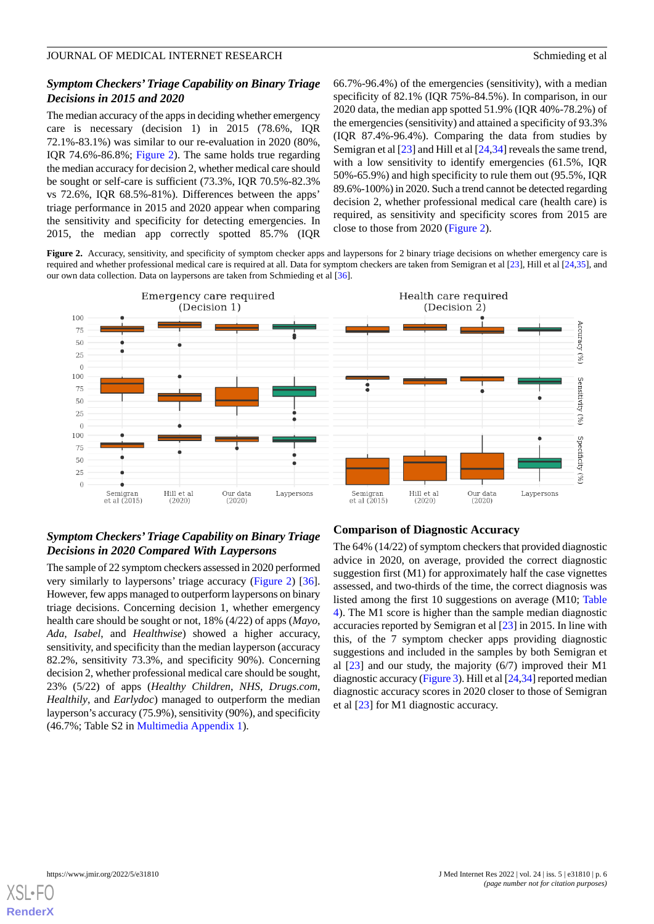## *Symptom Checkers'Triage Capability on Binary Triage Decisions in 2015 and 2020*

The median accuracy of the apps in deciding whether emergency care is necessary (decision 1) in 2015 (78.6%, IQR 72.1%-83.1%) was similar to our re-evaluation in 2020 (80%, IQR 74.6%-86.8%; [Figure 2](#page-5-0)). The same holds true regarding the median accuracy for decision 2, whether medical care should be sought or self-care is sufficient (73.3%, IQR 70.5%-82.3% vs 72.6%, IQR 68.5%-81%). Differences between the apps' triage performance in 2015 and 2020 appear when comparing the sensitivity and specificity for detecting emergencies. In 2015, the median app correctly spotted 85.7% (IQR 66.7%-96.4%) of the emergencies (sensitivity), with a median specificity of 82.1% (IQR 75%-84.5%). In comparison, in our 2020 data, the median app spotted 51.9% (IQR 40%-78.2%) of the emergencies (sensitivity) and attained a specificity of 93.3% (IQR 87.4%-96.4%). Comparing the data from studies by Semigran et al [\[23](#page-11-2)] and Hill et al [[24,](#page-11-10)[34](#page-11-13)] reveals the same trend, with a low sensitivity to identify emergencies (61.5%, IQR 50%-65.9%) and high specificity to rule them out (95.5%, IQR 89.6%-100%) in 2020. Such a trend cannot be detected regarding decision 2, whether professional medical care (health care) is required, as sensitivity and specificity scores from 2015 are close to those from 2020 [\(Figure 2\)](#page-5-0).

<span id="page-5-0"></span>Figure 2. Accuracy, sensitivity, and specificity of symptom checker apps and laypersons for 2 binary triage decisions on whether emergency care is required and whether professional medical care is required at all. Data for symptom checkers are taken from Semigran et al [\[23](#page-11-2)], Hill et al [\[24,](#page-11-10)[35\]](#page-11-15), and our own data collection. Data on laypersons are taken from Schmieding et al [[36](#page-11-14)].



## *Symptom Checkers'Triage Capability on Binary Triage Decisions in 2020 Compared With Laypersons*

The sample of 22 symptom checkers assessed in 2020 performed very similarly to laypersons' triage accuracy [\(Figure 2\)](#page-5-0) [[36\]](#page-11-14). However, few apps managed to outperform laypersons on binary triage decisions. Concerning decision 1, whether emergency health care should be sought or not, 18% (4/22) of apps (*Mayo*, *Ada*, *Isabel*, and *Healthwise*) showed a higher accuracy, sensitivity, and specificity than the median layperson (accuracy 82.2%, sensitivity 73.3%, and specificity 90%). Concerning decision 2, whether professional medical care should be sought, 23% (5/22) of apps (*Healthy Children*, *NHS*, *Drugs.com*, *Healthily*, and *Earlydoc*) managed to outperform the median layperson's accuracy (75.9%), sensitivity (90%), and specificity (46.7%; Table S2 in [Multimedia Appendix 1\)](#page-10-16).

## **Comparison of Diagnostic Accuracy**

The 64% (14/22) of symptom checkers that provided diagnostic advice in 2020, on average, provided the correct diagnostic suggestion first (M1) for approximately half the case vignettes assessed, and two-thirds of the time, the correct diagnosis was listed among the first 10 suggestions on average (M10; [Table](#page-6-0) [4\)](#page-6-0). The M1 score is higher than the sample median diagnostic accuracies reported by Semigran et al [\[23](#page-11-2)] in 2015. In line with this, of the 7 symptom checker apps providing diagnostic suggestions and included in the samples by both Semigran et al  $[23]$  $[23]$  and our study, the majority (6/7) improved their M1 diagnostic accuracy [\(Figure 3](#page-6-1)). Hill et al [[24](#page-11-10),[34](#page-11-13)] reported median diagnostic accuracy scores in 2020 closer to those of Semigran et al [\[23](#page-11-2)] for M1 diagnostic accuracy.

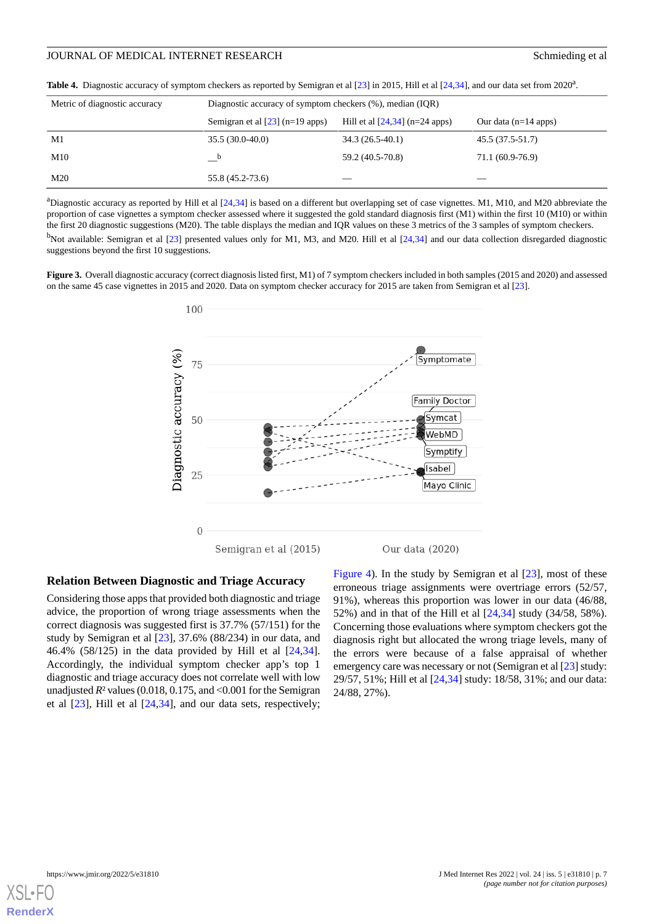| Metric of diagnostic accuracy | Diagnostic accuracy of symptom checkers (%), median (IQR) |                                  |                        |  |
|-------------------------------|-----------------------------------------------------------|----------------------------------|------------------------|--|
|                               | Semigran et al $[23]$ (n=19 apps)                         | Hill et al $[24,34]$ (n=24 apps) | Our data $(n=14$ apps) |  |
| M1                            | $35.5(30.0-40.0)$                                         | $34.3(26.5-40.1)$                | 45.5 (37.5-51.7)       |  |
| M10                           |                                                           | 59.2 (40.5-70.8)                 | 71.1 (60.9-76.9)       |  |
| M20                           | 55.8 (45.2-73.6)                                          |                                  |                        |  |

<span id="page-6-0"></span>Table 4. Diagnostic accuracy of symptom checkers as reported by Semigran et al [[23](#page-11-2)] in 2015, Hill et al [[24](#page-11-10)[,34\]](#page-11-13), and our data set from 2020<sup>a</sup>.

<sup>a</sup>Diagnostic accuracy as reported by Hill et al  $[24,34]$  $[24,34]$  $[24,34]$  is based on a different but overlapping set of case vignettes. M1, M10, and M20 abbreviate the proportion of case vignettes a symptom checker assessed where it suggested the gold standard diagnosis first (M1) within the first 10 (M10) or within the first 20 diagnostic suggestions (M20). The table displays the median and IQR values on these 3 metrics of the 3 samples of symptom checkers.

<span id="page-6-1"></span> $<sup>b</sup>$ Not available: Semigran et al [\[23\]](#page-11-2) presented values only for M1, M3, and M20. Hill et al [\[24,](#page-11-10)[34](#page-11-13)] and our data collection disregarded diagnostic</sup> suggestions beyond the first 10 suggestions.

**Figure 3.** Overall diagnostic accuracy (correct diagnosis listed first, M1) of 7 symptom checkers included in both samples (2015 and 2020) and assessed on the same 45 case vignettes in 2015 and 2020. Data on symptom checker accuracy for 2015 are taken from Semigran et al [\[23\]](#page-11-2).



#### **Relation Between Diagnostic and Triage Accuracy**

Considering those apps that provided both diagnostic and triage advice, the proportion of wrong triage assessments when the correct diagnosis was suggested first is 37.7% (57/151) for the study by Semigran et al [\[23](#page-11-2)], 37.6% (88/234) in our data, and 46.4% (58/125) in the data provided by Hill et al [\[24](#page-11-10),[34\]](#page-11-13). Accordingly, the individual symptom checker app's top 1 diagnostic and triage accuracy does not correlate well with low unadjusted  $R<sup>2</sup>$  values (0.018, 0.175, and <0.001 for the Semigran et al [[23\]](#page-11-2), Hill et al [[24](#page-11-10)[,34](#page-11-13)], and our data sets, respectively;

[Figure 4](#page-7-0)). In the study by Semigran et al [[23\]](#page-11-2), most of these erroneous triage assignments were overtriage errors (52/57, 91%), whereas this proportion was lower in our data (46/88, 52%) and in that of the Hill et al [[24,](#page-11-10)[34\]](#page-11-13) study (34/58, 58%). Concerning those evaluations where symptom checkers got the diagnosis right but allocated the wrong triage levels, many of the errors were because of a false appraisal of whether emergency care was necessary or not (Semigran et al [[23](#page-11-2)] study: 29/57, 51%; Hill et al [[24,](#page-11-10)[34\]](#page-11-13) study: 18/58, 31%; and our data: 24/88, 27%).

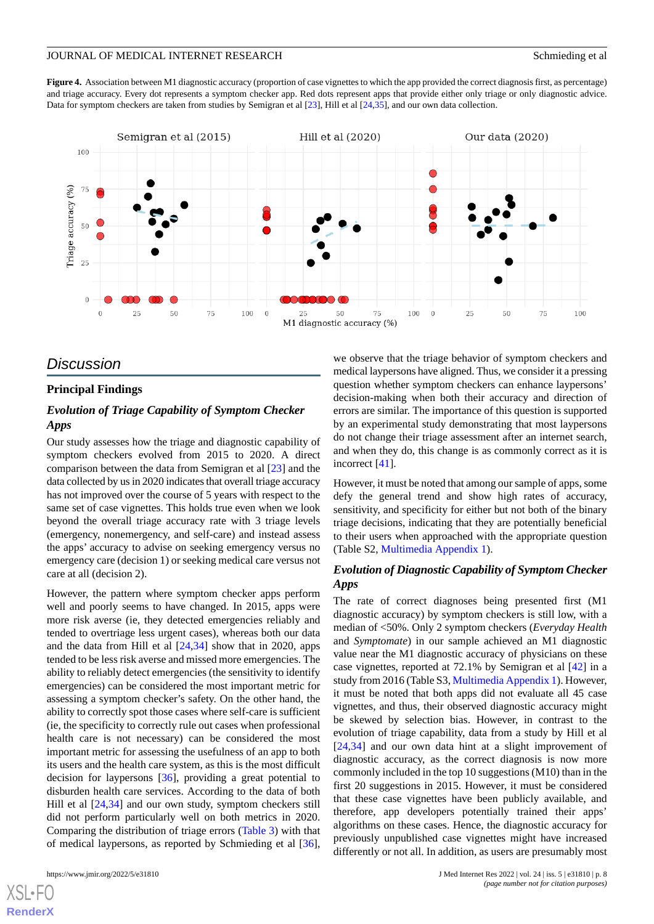<span id="page-7-0"></span>Figure 4. Association between M1 diagnostic accuracy (proportion of case vignettes to which the app provided the correct diagnosis first, as percentage) and triage accuracy. Every dot represents a symptom checker app. Red dots represent apps that provide either only triage or only diagnostic advice. Data for symptom checkers are taken from studies by Semigran et al [\[23\]](#page-11-2), Hill et al [[24](#page-11-10)[,35\]](#page-11-15), and our own data collection.



# *Discussion*

## **Principal Findings**

## *Evolution of Triage Capability of Symptom Checker Apps*

Our study assesses how the triage and diagnostic capability of symptom checkers evolved from 2015 to 2020. A direct comparison between the data from Semigran et al [[23\]](#page-11-2) and the data collected by us in 2020 indicates that overall triage accuracy has not improved over the course of 5 years with respect to the same set of case vignettes. This holds true even when we look beyond the overall triage accuracy rate with 3 triage levels (emergency, nonemergency, and self-care) and instead assess the apps' accuracy to advise on seeking emergency versus no emergency care (decision 1) or seeking medical care versus not care at all (decision 2).

However, the pattern where symptom checker apps perform well and poorly seems to have changed. In 2015, apps were more risk averse (ie, they detected emergencies reliably and tended to overtriage less urgent cases), whereas both our data and the data from Hill et al [[24,](#page-11-10)[34](#page-11-13)] show that in 2020, apps tended to be less risk averse and missed more emergencies. The ability to reliably detect emergencies (the sensitivity to identify emergencies) can be considered the most important metric for assessing a symptom checker's safety. On the other hand, the ability to correctly spot those cases where self-care is sufficient (ie, the specificity to correctly rule out cases when professional health care is not necessary) can be considered the most important metric for assessing the usefulness of an app to both its users and the health care system, as this is the most difficult decision for laypersons [\[36](#page-11-14)], providing a great potential to disburden health care services. According to the data of both Hill et al [\[24](#page-11-10),[34\]](#page-11-13) and our own study, symptom checkers still did not perform particularly well on both metrics in 2020. Comparing the distribution of triage errors [\(Table 3\)](#page-4-2) with that of medical laypersons, as reported by Schmieding et al [[36\]](#page-11-14),

[XSL](http://www.w3.org/Style/XSL)•FO **[RenderX](http://www.renderx.com/)**

we observe that the triage behavior of symptom checkers and medical laypersons have aligned. Thus, we consider it a pressing question whether symptom checkers can enhance laypersons' decision-making when both their accuracy and direction of errors are similar. The importance of this question is supported by an experimental study demonstrating that most laypersons do not change their triage assessment after an internet search, and when they do, this change is as commonly correct as it is incorrect [\[41](#page-11-20)].

However, it must be noted that among our sample of apps, some defy the general trend and show high rates of accuracy, sensitivity, and specificity for either but not both of the binary triage decisions, indicating that they are potentially beneficial to their users when approached with the appropriate question (Table S2, [Multimedia Appendix 1](#page-10-16)).

## *Evolution of Diagnostic Capability of Symptom Checker Apps*

The rate of correct diagnoses being presented first (M1 diagnostic accuracy) by symptom checkers is still low, with a median of <50%. Only 2 symptom checkers (*Everyday Health* and *Symptomate*) in our sample achieved an M1 diagnostic value near the M1 diagnostic accuracy of physicians on these case vignettes, reported at 72.1% by Semigran et al [[42\]](#page-11-21) in a study from 2016 (Table S3, [Multimedia Appendix 1](#page-10-16)). However, it must be noted that both apps did not evaluate all 45 case vignettes, and thus, their observed diagnostic accuracy might be skewed by selection bias. However, in contrast to the evolution of triage capability, data from a study by Hill et al [[24,](#page-11-10)[34\]](#page-11-13) and our own data hint at a slight improvement of diagnostic accuracy, as the correct diagnosis is now more commonly included in the top 10 suggestions (M10) than in the first 20 suggestions in 2015. However, it must be considered that these case vignettes have been publicly available, and therefore, app developers potentially trained their apps' algorithms on these cases. Hence, the diagnostic accuracy for previously unpublished case vignettes might have increased differently or not all. In addition, as users are presumably most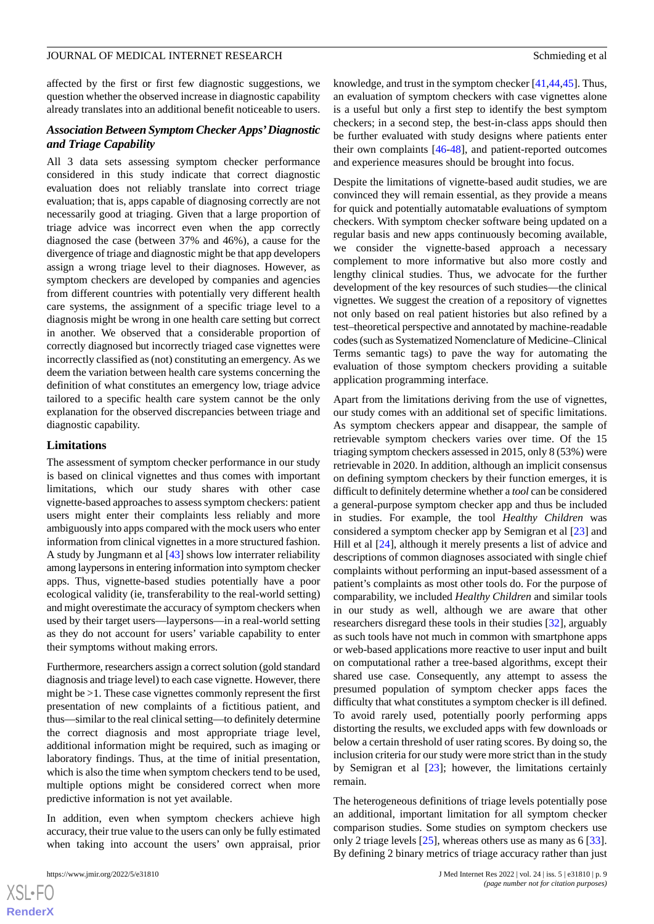affected by the first or first few diagnostic suggestions, we question whether the observed increase in diagnostic capability already translates into an additional benefit noticeable to users.

## *Association Between Symptom Checker Apps'Diagnostic and Triage Capability*

All 3 data sets assessing symptom checker performance considered in this study indicate that correct diagnostic evaluation does not reliably translate into correct triage evaluation; that is, apps capable of diagnosing correctly are not necessarily good at triaging. Given that a large proportion of triage advice was incorrect even when the app correctly diagnosed the case (between 37% and 46%), a cause for the divergence of triage and diagnostic might be that app developers assign a wrong triage level to their diagnoses. However, as symptom checkers are developed by companies and agencies from different countries with potentially very different health care systems, the assignment of a specific triage level to a diagnosis might be wrong in one health care setting but correct in another. We observed that a considerable proportion of correctly diagnosed but incorrectly triaged case vignettes were incorrectly classified as (not) constituting an emergency. As we deem the variation between health care systems concerning the definition of what constitutes an emergency low, triage advice tailored to a specific health care system cannot be the only explanation for the observed discrepancies between triage and diagnostic capability.

#### **Limitations**

The assessment of symptom checker performance in our study is based on clinical vignettes and thus comes with important limitations, which our study shares with other case vignette-based approaches to assess symptom checkers: patient users might enter their complaints less reliably and more ambiguously into apps compared with the mock users who enter information from clinical vignettes in a more structured fashion. A study by Jungmann et al [\[43](#page-11-22)] shows low interrater reliability among laypersons in entering information into symptom checker apps. Thus, vignette-based studies potentially have a poor ecological validity (ie, transferability to the real-world setting) and might overestimate the accuracy of symptom checkers when used by their target users—laypersons—in a real-world setting as they do not account for users' variable capability to enter their symptoms without making errors.

Furthermore, researchers assign a correct solution (gold standard diagnosis and triage level) to each case vignette. However, there might be >1. These case vignettes commonly represent the first presentation of new complaints of a fictitious patient, and thus—similar to the real clinical setting—to definitely determine the correct diagnosis and most appropriate triage level, additional information might be required, such as imaging or laboratory findings. Thus, at the time of initial presentation, which is also the time when symptom checkers tend to be used, multiple options might be considered correct when more predictive information is not yet available.

In addition, even when symptom checkers achieve high accuracy, their true value to the users can only be fully estimated when taking into account the users' own appraisal, prior

knowledge, and trust in the symptom checker [\[41](#page-11-20),[44](#page-12-0)[,45](#page-12-1)]. Thus, an evaluation of symptom checkers with case vignettes alone is a useful but only a first step to identify the best symptom checkers; in a second step, the best-in-class apps should then be further evaluated with study designs where patients enter their own complaints [[46-](#page-12-2)[48\]](#page-12-3), and patient-reported outcomes and experience measures should be brought into focus.

Despite the limitations of vignette-based audit studies, we are convinced they will remain essential, as they provide a means for quick and potentially automatable evaluations of symptom checkers. With symptom checker software being updated on a regular basis and new apps continuously becoming available, we consider the vignette-based approach a necessary complement to more informative but also more costly and lengthy clinical studies. Thus, we advocate for the further development of the key resources of such studies—the clinical vignettes. We suggest the creation of a repository of vignettes not only based on real patient histories but also refined by a test–theoretical perspective and annotated by machine-readable codes (such as Systematized Nomenclature of Medicine–Clinical Terms semantic tags) to pave the way for automating the evaluation of those symptom checkers providing a suitable application programming interface.

Apart from the limitations deriving from the use of vignettes, our study comes with an additional set of specific limitations. As symptom checkers appear and disappear, the sample of retrievable symptom checkers varies over time. Of the 15 triaging symptom checkers assessed in 2015, only 8 (53%) were retrievable in 2020. In addition, although an implicit consensus on defining symptom checkers by their function emerges, it is difficult to definitely determine whether a *tool* can be considered a general-purpose symptom checker app and thus be included in studies. For example, the tool *Healthy Children* was considered a symptom checker app by Semigran et al [\[23](#page-11-2)] and Hill et al [\[24](#page-11-10)], although it merely presents a list of advice and descriptions of common diagnoses associated with single chief complaints without performing an input-based assessment of a patient's complaints as most other tools do. For the purpose of comparability, we included *Healthy Children* and similar tools in our study as well, although we are aware that other researchers disregard these tools in their studies [[32\]](#page-11-11), arguably as such tools have not much in common with smartphone apps or web-based applications more reactive to user input and built on computational rather a tree-based algorithms, except their shared use case. Consequently, any attempt to assess the presumed population of symptom checker apps faces the difficulty that what constitutes a symptom checker is ill defined. To avoid rarely used, potentially poorly performing apps distorting the results, we excluded apps with few downloads or below a certain threshold of user rating scores. By doing so, the inclusion criteria for our study were more strict than in the study by Semigran et al  $[23]$  $[23]$ ; however, the limitations certainly remain.

The heterogeneous definitions of triage levels potentially pose an additional, important limitation for all symptom checker comparison studies. Some studies on symptom checkers use only 2 triage levels [[25\]](#page-11-9), whereas others use as many as 6 [[33\]](#page-11-12). By defining 2 binary metrics of triage accuracy rather than just

```
XS-FO
RenderX
```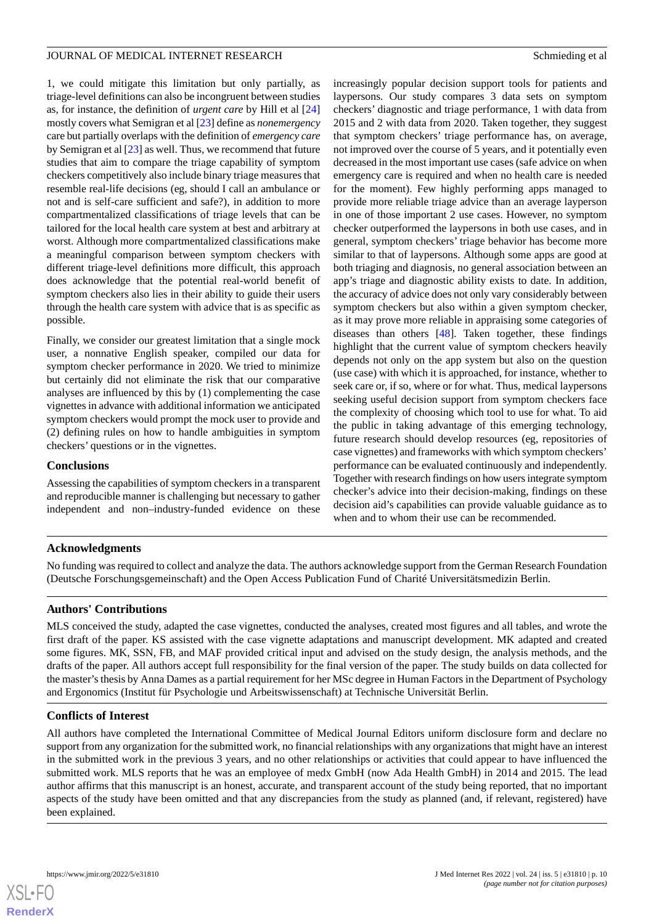1, we could mitigate this limitation but only partially, as triage-level definitions can also be incongruent between studies as, for instance, the definition of *urgent care* by Hill et al [\[24](#page-11-10)] mostly covers what Semigran et al [\[23](#page-11-2)] define as *nonemergency* care but partially overlaps with the definition of *emergency care* by Semigran et al [\[23](#page-11-2)] as well. Thus, we recommend that future studies that aim to compare the triage capability of symptom checkers competitively also include binary triage measures that resemble real-life decisions (eg, should I call an ambulance or not and is self-care sufficient and safe?), in addition to more compartmentalized classifications of triage levels that can be tailored for the local health care system at best and arbitrary at worst. Although more compartmentalized classifications make a meaningful comparison between symptom checkers with different triage-level definitions more difficult, this approach does acknowledge that the potential real-world benefit of symptom checkers also lies in their ability to guide their users through the health care system with advice that is as specific as possible.

Finally, we consider our greatest limitation that a single mock user, a nonnative English speaker, compiled our data for symptom checker performance in 2020. We tried to minimize but certainly did not eliminate the risk that our comparative analyses are influenced by this by (1) complementing the case vignettes in advance with additional information we anticipated symptom checkers would prompt the mock user to provide and (2) defining rules on how to handle ambiguities in symptom checkers' questions or in the vignettes.

#### **Conclusions**

Assessing the capabilities of symptom checkers in a transparent and reproducible manner is challenging but necessary to gather independent and non–industry-funded evidence on these increasingly popular decision support tools for patients and laypersons. Our study compares 3 data sets on symptom checkers' diagnostic and triage performance, 1 with data from 2015 and 2 with data from 2020. Taken together, they suggest that symptom checkers' triage performance has, on average, not improved over the course of 5 years, and it potentially even decreased in the most important use cases (safe advice on when emergency care is required and when no health care is needed for the moment). Few highly performing apps managed to provide more reliable triage advice than an average layperson in one of those important 2 use cases. However, no symptom checker outperformed the laypersons in both use cases, and in general, symptom checkers' triage behavior has become more similar to that of laypersons. Although some apps are good at both triaging and diagnosis, no general association between an app's triage and diagnostic ability exists to date. In addition, the accuracy of advice does not only vary considerably between symptom checkers but also within a given symptom checker, as it may prove more reliable in appraising some categories of diseases than others [\[48](#page-12-3)]. Taken together, these findings highlight that the current value of symptom checkers heavily depends not only on the app system but also on the question (use case) with which it is approached, for instance, whether to seek care or, if so, where or for what. Thus, medical laypersons seeking useful decision support from symptom checkers face the complexity of choosing which tool to use for what. To aid the public in taking advantage of this emerging technology, future research should develop resources (eg, repositories of case vignettes) and frameworks with which symptom checkers' performance can be evaluated continuously and independently. Together with research findings on how users integrate symptom checker's advice into their decision-making, findings on these decision aid's capabilities can provide valuable guidance as to when and to whom their use can be recommended.

## **Acknowledgments**

No funding was required to collect and analyze the data. The authors acknowledge support from the German Research Foundation (Deutsche Forschungsgemeinschaft) and the Open Access Publication Fund of Charité Universitätsmedizin Berlin.

## **Authors' Contributions**

MLS conceived the study, adapted the case vignettes, conducted the analyses, created most figures and all tables, and wrote the first draft of the paper. KS assisted with the case vignette adaptations and manuscript development. MK adapted and created some figures. MK, SSN, FB, and MAF provided critical input and advised on the study design, the analysis methods, and the drafts of the paper. All authors accept full responsibility for the final version of the paper. The study builds on data collected for the master's thesis by Anna Dames as a partial requirement for her MSc degree in Human Factors in the Department of Psychology and Ergonomics (Institut für Psychologie und Arbeitswissenschaft) at Technische Universität Berlin.

#### **Conflicts of Interest**

All authors have completed the International Committee of Medical Journal Editors uniform disclosure form and declare no support from any organization for the submitted work, no financial relationships with any organizations that might have an interest in the submitted work in the previous 3 years, and no other relationships or activities that could appear to have influenced the submitted work. MLS reports that he was an employee of medx GmbH (now Ada Health GmbH) in 2014 and 2015. The lead author affirms that this manuscript is an honest, accurate, and transparent account of the study being reported, that no important aspects of the study have been omitted and that any discrepancies from the study as planned (and, if relevant, registered) have been explained.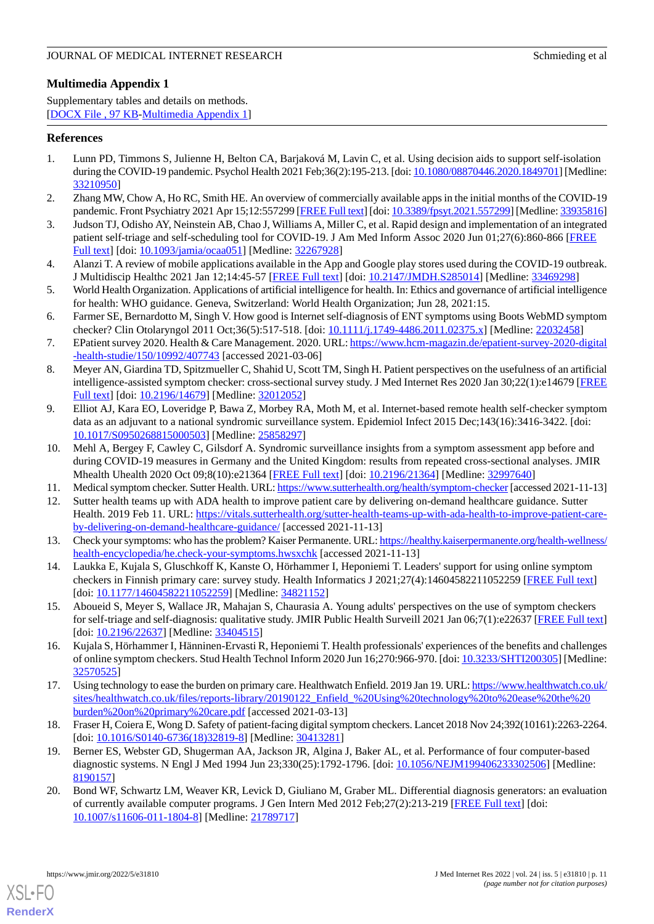# <span id="page-10-16"></span>**Multimedia Appendix 1**

Supplementary tables and details on methods. [[DOCX File , 97 KB](https://jmir.org/api/download?alt_name=jmir_v24i5e31810_app1.docx&filename=793fc31a0670b9d9fc484f58d2add5c7.docx)-[Multimedia Appendix 1\]](https://jmir.org/api/download?alt_name=jmir_v24i5e31810_app1.docx&filename=793fc31a0670b9d9fc484f58d2add5c7.docx)

## <span id="page-10-0"></span>**References**

- 1. Lunn PD, Timmons S, Julienne H, Belton CA, Barjaková M, Lavin C, et al. Using decision aids to support self-isolation during the COVID-19 pandemic. Psychol Health 2021 Feb;36(2):195-213. [doi: [10.1080/08870446.2020.1849701\]](http://dx.doi.org/10.1080/08870446.2020.1849701) [Medline: [33210950](http://www.ncbi.nlm.nih.gov/entrez/query.fcgi?cmd=Retrieve&db=PubMed&list_uids=33210950&dopt=Abstract)]
- 2. Zhang MW, Chow A, Ho RC, Smith HE. An overview of commercially available apps in the initial months of the COVID-19 pandemic. Front Psychiatry 2021 Apr 15;12:557299 [\[FREE Full text](https://doi.org/10.3389/fpsyt.2021.557299)] [doi: [10.3389/fpsyt.2021.557299\]](http://dx.doi.org/10.3389/fpsyt.2021.557299) [Medline: [33935816\]](http://www.ncbi.nlm.nih.gov/entrez/query.fcgi?cmd=Retrieve&db=PubMed&list_uids=33935816&dopt=Abstract)
- <span id="page-10-1"></span>3. Judson TJ, Odisho AY, Neinstein AB, Chao J, Williams A, Miller C, et al. Rapid design and implementation of an integrated patient self-triage and self-scheduling tool for COVID-19. J Am Med Inform Assoc 2020 Jun 01;27(6):860-866 [[FREE](http://europepmc.org/abstract/MED/32267928) [Full text\]](http://europepmc.org/abstract/MED/32267928) [doi: [10.1093/jamia/ocaa051\]](http://dx.doi.org/10.1093/jamia/ocaa051) [Medline: [32267928\]](http://www.ncbi.nlm.nih.gov/entrez/query.fcgi?cmd=Retrieve&db=PubMed&list_uids=32267928&dopt=Abstract)
- <span id="page-10-2"></span>4. Alanzi T. A review of mobile applications available in the App and Google play stores used during the COVID-19 outbreak. J Multidiscip Healthc 2021 Jan 12;14:45-57 [\[FREE Full text\]](https://dx.doi.org/10.2147/JMDH.S285014) [doi: [10.2147/JMDH.S285014](http://dx.doi.org/10.2147/JMDH.S285014)] [Medline: [33469298](http://www.ncbi.nlm.nih.gov/entrez/query.fcgi?cmd=Retrieve&db=PubMed&list_uids=33469298&dopt=Abstract)]
- <span id="page-10-3"></span>5. World Health Organization. Applications of artificial intelligence for health. In: Ethics and governance of artificial intelligence for health: WHO guidance. Geneva, Switzerland: World Health Organization; Jun 28, 2021:15.
- <span id="page-10-4"></span>6. Farmer SE, Bernardotto M, Singh V. How good is Internet self-diagnosis of ENT symptoms using Boots WebMD symptom checker? Clin Otolaryngol 2011 Oct;36(5):517-518. [doi: [10.1111/j.1749-4486.2011.02375.x](http://dx.doi.org/10.1111/j.1749-4486.2011.02375.x)] [Medline: [22032458](http://www.ncbi.nlm.nih.gov/entrez/query.fcgi?cmd=Retrieve&db=PubMed&list_uids=22032458&dopt=Abstract)]
- <span id="page-10-5"></span>7. EPatient survey 2020. Health & Care Management. 2020. URL: [https://www.hcm-magazin.de/epatient-survey-2020-digital](https://www.hcm-magazin.de/epatient-survey-2020-digital-health-studie/150/10992/407743) [-health-studie/150/10992/407743](https://www.hcm-magazin.de/epatient-survey-2020-digital-health-studie/150/10992/407743) [accessed 2021-03-06]
- <span id="page-10-6"></span>8. Meyer AN, Giardina TD, Spitzmueller C, Shahid U, Scott TM, Singh H. Patient perspectives on the usefulness of an artificial intelligence-assisted symptom checker: cross-sectional survey study. J Med Internet Res 2020 Jan 30;22(1):e14679 [\[FREE](https://www.jmir.org/2020/1/e14679/) [Full text\]](https://www.jmir.org/2020/1/e14679/) [doi: [10.2196/14679\]](http://dx.doi.org/10.2196/14679) [Medline: [32012052](http://www.ncbi.nlm.nih.gov/entrez/query.fcgi?cmd=Retrieve&db=PubMed&list_uids=32012052&dopt=Abstract)]
- <span id="page-10-7"></span>9. Elliot AJ, Kara EO, Loveridge P, Bawa Z, Morbey RA, Moth M, et al. Internet-based remote health self-checker symptom data as an adjuvant to a national syndromic surveillance system. Epidemiol Infect 2015 Dec;143(16):3416-3422. [doi: [10.1017/S0950268815000503](http://dx.doi.org/10.1017/S0950268815000503)] [Medline: [25858297](http://www.ncbi.nlm.nih.gov/entrez/query.fcgi?cmd=Retrieve&db=PubMed&list_uids=25858297&dopt=Abstract)]
- <span id="page-10-8"></span>10. Mehl A, Bergey F, Cawley C, Gilsdorf A. Syndromic surveillance insights from a symptom assessment app before and during COVID-19 measures in Germany and the United Kingdom: results from repeated cross-sectional analyses. JMIR Mhealth Uhealth 2020 Oct 09;8(10):e21364 [\[FREE Full text\]](https://mhealth.jmir.org/2020/10/e21364/) [doi: [10.2196/21364](http://dx.doi.org/10.2196/21364)] [Medline: [32997640](http://www.ncbi.nlm.nih.gov/entrez/query.fcgi?cmd=Retrieve&db=PubMed&list_uids=32997640&dopt=Abstract)]
- <span id="page-10-9"></span>11. Medical symptom checker. Sutter Health. URL:<https://www.sutterhealth.org/health/symptom-checker> [accessed 2021-11-13]
- <span id="page-10-10"></span>12. Sutter health teams up with ADA health to improve patient care by delivering on-demand healthcare guidance. Sutter Health. 2019 Feb 11. URL: [https://vitals.sutterhealth.org/sutter-health-teams-up-with-ada-health-to-improve-patient-care](https://vitals.sutterhealth.org/sutter-health-teams-up-with-ada-health-to-improve-patient-care-by-delivering-on-demand-healthcare-guidance/)[by-delivering-on-demand-healthcare-guidance/](https://vitals.sutterhealth.org/sutter-health-teams-up-with-ada-health-to-improve-patient-care-by-delivering-on-demand-healthcare-guidance/) [accessed 2021-11-13]
- <span id="page-10-11"></span>13. Check your symptoms: who has the problem? Kaiser Permanente. URL: [https://healthy.kaiserpermanente.org/health-wellness/](https://healthy.kaiserpermanente.org/health-wellness/health-encyclopedia/he.check-your-symptoms.hwsxchk) [health-encyclopedia/he.check-your-symptoms.hwsxchk](https://healthy.kaiserpermanente.org/health-wellness/health-encyclopedia/he.check-your-symptoms.hwsxchk) [accessed 2021-11-13]
- 14. Laukka E, Kujala S, Gluschkoff K, Kanste O, Hörhammer I, Heponiemi T. Leaders' support for using online symptom checkers in Finnish primary care: survey study. Health Informatics J 2021;27(4):14604582211052259 [[FREE Full text](https://journals.sagepub.com/doi/10.1177/14604582211052259?url_ver=Z39.88-2003&rfr_id=ori:rid:crossref.org&rfr_dat=cr_pub%3dpubmed)] [doi: [10.1177/14604582211052259](http://dx.doi.org/10.1177/14604582211052259)] [Medline: [34821152\]](http://www.ncbi.nlm.nih.gov/entrez/query.fcgi?cmd=Retrieve&db=PubMed&list_uids=34821152&dopt=Abstract)
- <span id="page-10-12"></span>15. Aboueid S, Meyer S, Wallace JR, Mahajan S, Chaurasia A. Young adults' perspectives on the use of symptom checkers for self-triage and self-diagnosis: qualitative study. JMIR Public Health Surveill 2021 Jan 06;7(1):e22637 [[FREE Full text](https://publichealth.jmir.org/2021/1/e22637/)] [doi: [10.2196/22637](http://dx.doi.org/10.2196/22637)] [Medline: [33404515\]](http://www.ncbi.nlm.nih.gov/entrez/query.fcgi?cmd=Retrieve&db=PubMed&list_uids=33404515&dopt=Abstract)
- <span id="page-10-13"></span>16. Kujala S, Hörhammer I, Hänninen-Ervasti R, Heponiemi T. Health professionals' experiences of the benefits and challenges of online symptom checkers. Stud Health Technol Inform 2020 Jun 16;270:966-970. [doi: [10.3233/SHTI200305](http://dx.doi.org/10.3233/SHTI200305)] [Medline: [32570525](http://www.ncbi.nlm.nih.gov/entrez/query.fcgi?cmd=Retrieve&db=PubMed&list_uids=32570525&dopt=Abstract)]
- <span id="page-10-14"></span>17. Using technology to ease the burden on primary care. Healthwatch Enfield. 2019 Jan 19. URL: [https://www.healthwatch.co.uk/](https://www.healthwatch.co.uk/sites/healthwatch.co.uk/files/reports-library/20190122_Enfield_%20Using%20technology%20to%20ease%20the%20burden%20on%20primary%20care.pdf) [sites/healthwatch.co.uk/files/reports-library/20190122\\_Enfield\\_%20Using%20technology%20to%20ease%20the%20](https://www.healthwatch.co.uk/sites/healthwatch.co.uk/files/reports-library/20190122_Enfield_%20Using%20technology%20to%20ease%20the%20burden%20on%20primary%20care.pdf) [burden%20on%20primary%20care.pdf](https://www.healthwatch.co.uk/sites/healthwatch.co.uk/files/reports-library/20190122_Enfield_%20Using%20technology%20to%20ease%20the%20burden%20on%20primary%20care.pdf) [accessed 2021-03-13]
- <span id="page-10-15"></span>18. Fraser H, Coiera E, Wong D. Safety of patient-facing digital symptom checkers. Lancet 2018 Nov 24;392(10161):2263-2264. [doi: [10.1016/S0140-6736\(18\)32819-8](http://dx.doi.org/10.1016/S0140-6736(18)32819-8)] [Medline: [30413281\]](http://www.ncbi.nlm.nih.gov/entrez/query.fcgi?cmd=Retrieve&db=PubMed&list_uids=30413281&dopt=Abstract)
- 19. Berner ES, Webster GD, Shugerman AA, Jackson JR, Algina J, Baker AL, et al. Performance of four computer-based diagnostic systems. N Engl J Med 1994 Jun 23;330(25):1792-1796. [doi: [10.1056/NEJM199406233302506](http://dx.doi.org/10.1056/NEJM199406233302506)] [Medline: [8190157\]](http://www.ncbi.nlm.nih.gov/entrez/query.fcgi?cmd=Retrieve&db=PubMed&list_uids=8190157&dopt=Abstract)
- 20. Bond WF, Schwartz LM, Weaver KR, Levick D, Giuliano M, Graber ML. Differential diagnosis generators: an evaluation of currently available computer programs. J Gen Intern Med 2012 Feb;27(2):213-219 [[FREE Full text](http://europepmc.org/abstract/MED/21789717)] [doi: [10.1007/s11606-011-1804-8\]](http://dx.doi.org/10.1007/s11606-011-1804-8) [Medline: [21789717](http://www.ncbi.nlm.nih.gov/entrez/query.fcgi?cmd=Retrieve&db=PubMed&list_uids=21789717&dopt=Abstract)]

[XSL](http://www.w3.org/Style/XSL)•FO **[RenderX](http://www.renderx.com/)**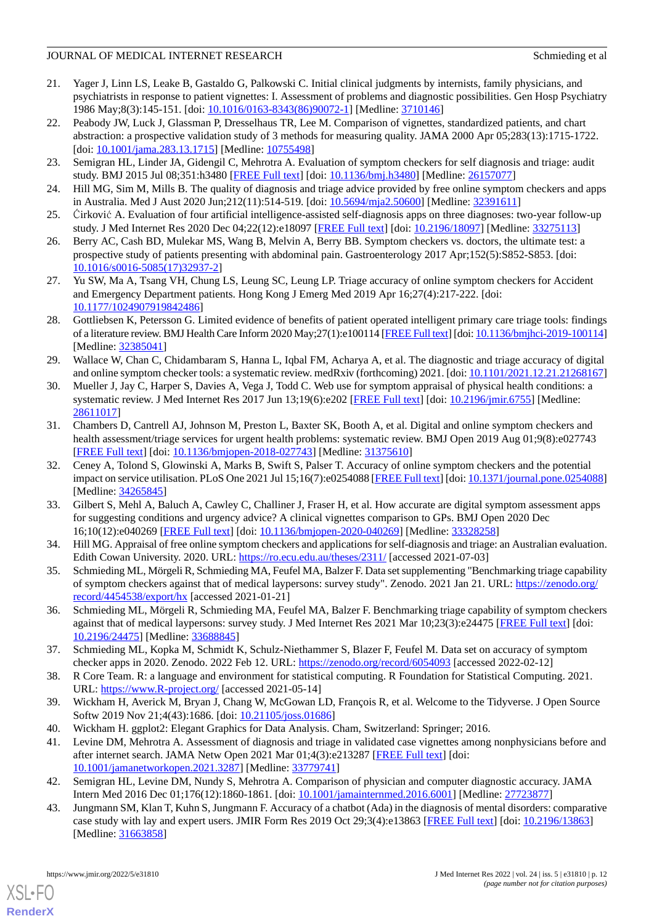- <span id="page-11-0"></span>21. Yager J, Linn LS, Leake B, Gastaldo G, Palkowski C. Initial clinical judgments by internists, family physicians, and psychiatrists in response to patient vignettes: I. Assessment of problems and diagnostic possibilities. Gen Hosp Psychiatry 1986 May;8(3):145-151. [doi: [10.1016/0163-8343\(86\)90072-1\]](http://dx.doi.org/10.1016/0163-8343(86)90072-1) [Medline: [3710146\]](http://www.ncbi.nlm.nih.gov/entrez/query.fcgi?cmd=Retrieve&db=PubMed&list_uids=3710146&dopt=Abstract)
- <span id="page-11-1"></span>22. Peabody JW, Luck J, Glassman P, Dresselhaus TR, Lee M. Comparison of vignettes, standardized patients, and chart abstraction: a prospective validation study of 3 methods for measuring quality. JAMA 2000 Apr 05;283(13):1715-1722. [doi: [10.1001/jama.283.13.1715](http://dx.doi.org/10.1001/jama.283.13.1715)] [Medline: [10755498\]](http://www.ncbi.nlm.nih.gov/entrez/query.fcgi?cmd=Retrieve&db=PubMed&list_uids=10755498&dopt=Abstract)
- <span id="page-11-10"></span><span id="page-11-2"></span>23. Semigran HL, Linder JA, Gidengil C, Mehrotra A. Evaluation of symptom checkers for self diagnosis and triage: audit study. BMJ 2015 Jul 08;351:h3480 [[FREE Full text\]](http://www.bmj.com/lookup/pmidlookup?view=long&pmid=26157077) [doi: [10.1136/bmj.h3480](http://dx.doi.org/10.1136/bmj.h3480)] [Medline: [26157077](http://www.ncbi.nlm.nih.gov/entrez/query.fcgi?cmd=Retrieve&db=PubMed&list_uids=26157077&dopt=Abstract)]
- <span id="page-11-9"></span>24. Hill MG, Sim M, Mills B. The quality of diagnosis and triage advice provided by free online symptom checkers and apps in Australia. Med J Aust 2020 Jun;212(11):514-519. [doi: [10.5694/mja2.50600](http://dx.doi.org/10.5694/mja2.50600)] [Medline: [32391611\]](http://www.ncbi.nlm.nih.gov/entrez/query.fcgi?cmd=Retrieve&db=PubMed&list_uids=32391611&dopt=Abstract)
- <span id="page-11-3"></span>25. Ćirković A. Evaluation of four artificial intelligence-assisted self-diagnosis apps on three diagnoses: two-year follow-up study. J Med Internet Res 2020 Dec 04;22(12):e18097 [[FREE Full text\]](https://www.jmir.org/2020/12/e18097/) [doi: [10.2196/18097](http://dx.doi.org/10.2196/18097)] [Medline: [33275113](http://www.ncbi.nlm.nih.gov/entrez/query.fcgi?cmd=Retrieve&db=PubMed&list_uids=33275113&dopt=Abstract)]
- <span id="page-11-4"></span>26. Berry AC, Cash BD, Mulekar MS, Wang B, Melvin A, Berry BB. Symptom checkers vs. doctors, the ultimate test: a prospective study of patients presenting with abdominal pain. Gastroenterology 2017 Apr;152(5):S852-S853. [doi: [10.1016/s0016-5085\(17\)32937-2](http://dx.doi.org/10.1016/s0016-5085(17)32937-2)]
- <span id="page-11-5"></span>27. Yu SW, Ma A, Tsang VH, Chung LS, Leung SC, Leung LP. Triage accuracy of online symptom checkers for Accident and Emergency Department patients. Hong Kong J Emerg Med 2019 Apr 16;27(4):217-222. [doi: [10.1177/1024907919842486\]](http://dx.doi.org/10.1177/1024907919842486)
- <span id="page-11-6"></span>28. Gottliebsen K, Petersson G. Limited evidence of benefits of patient operated intelligent primary care triage tools: findings of a literature review. BMJ Health Care Inform 2020 May;27(1):e100114 [[FREE Full text](https://informatics.bmj.com/lookup/pmidlookup?view=long&pmid=32385041)] [doi: [10.1136/bmjhci-2019-100114\]](http://dx.doi.org/10.1136/bmjhci-2019-100114) [Medline: [32385041](http://www.ncbi.nlm.nih.gov/entrez/query.fcgi?cmd=Retrieve&db=PubMed&list_uids=32385041&dopt=Abstract)]
- <span id="page-11-7"></span>29. Wallace W, Chan C, Chidambaram S, Hanna L, Iqbal FM, Acharya A, et al. The diagnostic and triage accuracy of digital and online symptom checker tools: a systematic review. medRxiv (forthcoming) 2021. [doi: [10.1101/2021.12.21.21268167\]](http://dx.doi.org/10.1101/2021.12.21.21268167)
- <span id="page-11-8"></span>30. Mueller J, Jay C, Harper S, Davies A, Vega J, Todd C. Web use for symptom appraisal of physical health conditions: a systematic review. J Med Internet Res 2017 Jun 13;19(6):e202 [[FREE Full text](https://www.jmir.org/2017/6/e202/)] [doi: [10.2196/jmir.6755\]](http://dx.doi.org/10.2196/jmir.6755) [Medline: [28611017](http://www.ncbi.nlm.nih.gov/entrez/query.fcgi?cmd=Retrieve&db=PubMed&list_uids=28611017&dopt=Abstract)]
- <span id="page-11-11"></span>31. Chambers D, Cantrell AJ, Johnson M, Preston L, Baxter SK, Booth A, et al. Digital and online symptom checkers and health assessment/triage services for urgent health problems: systematic review. BMJ Open 2019 Aug 01;9(8):e027743 [[FREE Full text](https://bmjopen.bmj.com/lookup/pmidlookup?view=long&pmid=31375610)] [doi: [10.1136/bmjopen-2018-027743](http://dx.doi.org/10.1136/bmjopen-2018-027743)] [Medline: [31375610](http://www.ncbi.nlm.nih.gov/entrez/query.fcgi?cmd=Retrieve&db=PubMed&list_uids=31375610&dopt=Abstract)]
- <span id="page-11-12"></span>32. Ceney A, Tolond S, Glowinski A, Marks B, Swift S, Palser T. Accuracy of online symptom checkers and the potential impact on service utilisation. PLoS One 2021 Jul 15;16(7):e0254088 [[FREE Full text](https://dx.plos.org/10.1371/journal.pone.0254088)] [doi: [10.1371/journal.pone.0254088](http://dx.doi.org/10.1371/journal.pone.0254088)] [Medline: [34265845](http://www.ncbi.nlm.nih.gov/entrez/query.fcgi?cmd=Retrieve&db=PubMed&list_uids=34265845&dopt=Abstract)]
- <span id="page-11-15"></span><span id="page-11-13"></span>33. Gilbert S, Mehl A, Baluch A, Cawley C, Challiner J, Fraser H, et al. How accurate are digital symptom assessment apps for suggesting conditions and urgency advice? A clinical vignettes comparison to GPs. BMJ Open 2020 Dec 16;10(12):e040269 [\[FREE Full text](https://bmjopen.bmj.com/lookup/pmidlookup?view=long&pmid=33328258)] [doi: [10.1136/bmjopen-2020-040269\]](http://dx.doi.org/10.1136/bmjopen-2020-040269) [Medline: [33328258](http://www.ncbi.nlm.nih.gov/entrez/query.fcgi?cmd=Retrieve&db=PubMed&list_uids=33328258&dopt=Abstract)]
- <span id="page-11-14"></span>34. Hill MG. Appraisal of free online symptom checkers and applications for self-diagnosis and triage: an Australian evaluation. Edith Cowan University. 2020. URL: <https://ro.ecu.edu.au/theses/2311/> [accessed 2021-07-03]
- <span id="page-11-16"></span>35. Schmieding ML, Mörgeli R, Schmieding MA, Feufel MA, Balzer F. Data set supplementing "Benchmarking triage capability of symptom checkers against that of medical laypersons: survey study". Zenodo. 2021 Jan 21. URL: [https://zenodo.org/](https://zenodo.org/record/4454538/export/hx) [record/4454538/export/hx](https://zenodo.org/record/4454538/export/hx) [accessed 2021-01-21]
- <span id="page-11-17"></span>36. Schmieding ML, Mörgeli R, Schmieding MA, Feufel MA, Balzer F. Benchmarking triage capability of symptom checkers against that of medical laypersons: survey study. J Med Internet Res 2021 Mar 10;23(3):e24475 [\[FREE Full text\]](https://www.jmir.org/2021/3/e24475/) [doi: [10.2196/24475\]](http://dx.doi.org/10.2196/24475) [Medline: [33688845\]](http://www.ncbi.nlm.nih.gov/entrez/query.fcgi?cmd=Retrieve&db=PubMed&list_uids=33688845&dopt=Abstract)
- <span id="page-11-19"></span><span id="page-11-18"></span>37. Schmieding ML, Kopka M, Schmidt K, Schulz-Niethammer S, Blazer F, Feufel M. Data set on accuracy of symptom checker apps in 2020. Zenodo. 2022 Feb 12. URL: <https://zenodo.org/record/6054093> [accessed 2022-02-12]
- <span id="page-11-20"></span>38. R Core Team. R: a language and environment for statistical computing. R Foundation for Statistical Computing. 2021. URL: <https://www.R-project.org/> [accessed 2021-05-14]
- <span id="page-11-21"></span>39. Wickham H, Averick M, Bryan J, Chang W, McGowan LD, François R, et al. Welcome to the Tidyverse. J Open Source Softw 2019 Nov 21;4(43):1686. [doi: [10.21105/joss.01686\]](http://dx.doi.org/10.21105/joss.01686)
- <span id="page-11-22"></span>40. Wickham H. ggplot2: Elegant Graphics for Data Analysis. Cham, Switzerland: Springer; 2016.
- 41. Levine DM, Mehrotra A. Assessment of diagnosis and triage in validated case vignettes among nonphysicians before and after internet search. JAMA Netw Open 2021 Mar 01;4(3):e213287 [\[FREE Full text\]](https://jamanetwork.com/journals/jamanetworkopen/fullarticle/10.1001/jamanetworkopen.2021.3287) [doi: [10.1001/jamanetworkopen.2021.3287](http://dx.doi.org/10.1001/jamanetworkopen.2021.3287)] [Medline: [33779741](http://www.ncbi.nlm.nih.gov/entrez/query.fcgi?cmd=Retrieve&db=PubMed&list_uids=33779741&dopt=Abstract)]
- 42. Semigran HL, Levine DM, Nundy S, Mehrotra A. Comparison of physician and computer diagnostic accuracy. JAMA Intern Med 2016 Dec 01;176(12):1860-1861. [doi: [10.1001/jamainternmed.2016.6001](http://dx.doi.org/10.1001/jamainternmed.2016.6001)] [Medline: [27723877\]](http://www.ncbi.nlm.nih.gov/entrez/query.fcgi?cmd=Retrieve&db=PubMed&list_uids=27723877&dopt=Abstract)
- 43. Jungmann SM, Klan T, Kuhn S, Jungmann F. Accuracy of a chatbot (Ada) in the diagnosis of mental disorders: comparative case study with lay and expert users. JMIR Form Res 2019 Oct 29;3(4):e13863 [[FREE Full text](https://formative.jmir.org/2019/4/e13863/)] [doi: [10.2196/13863\]](http://dx.doi.org/10.2196/13863) [Medline: [31663858](http://www.ncbi.nlm.nih.gov/entrez/query.fcgi?cmd=Retrieve&db=PubMed&list_uids=31663858&dopt=Abstract)]

[XSL](http://www.w3.org/Style/XSL)•FO **[RenderX](http://www.renderx.com/)**